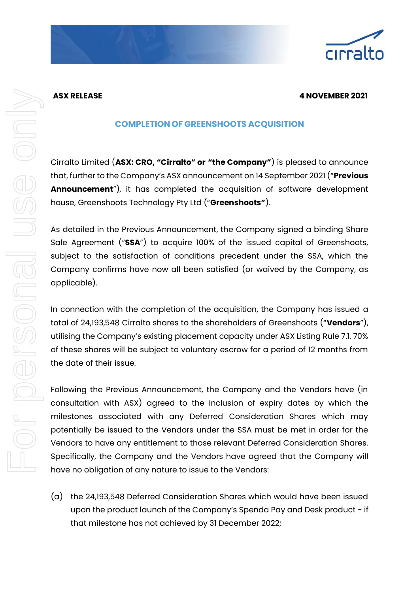## **ASX RELEASE 4 NOVEMBER 2021**

## **COMPLETION OF GREENSHOOTS ACQUISITION**

Cirralto Limited (**ASX: CRO, "Cirralto" or "the Company"**) is pleased to announce that, further to the Company's ASX announcement on 14 September 2021 ("**Previous Announcement**"), it has completed the acquisition of software development house, Greenshoots Technology Pty Ltd ("**Greenshoots"**).

As detailed in the Previous Announcement, the Company signed a binding Share Sale Agreement ("**SSA**") to acquire 100% of the issued capital of Greenshoots, subject to the satisfaction of conditions precedent under the SSA, which the Company confirms have now all been satisfied (or waived by the Company, as applicable).

In connection with the completion of the acquisition, the Company has issued a total of 24,193,548 Cirralto shares to the shareholders of Greenshoots ("**Vendors**"), utilising the Company's existing placement capacity under ASX Listing Rule 7.1. 70% of these shares will be subject to voluntary escrow for a period of 12 months from the date of their issue.

Following the Previous Announcement, the Company and the Vendors have (in consultation with ASX) agreed to the inclusion of expiry dates by which the milestones associated with any Deferred Consideration Shares which may potentially be issued to the Vendors under the SSA must be met in order for the Vendors to have any entitlement to those relevant Deferred Consideration Shares. Specifically, the Company and the Vendors have agreed that the Company will have no obligation of any nature to issue to the Vendors:

(a) the 24,193,548 Deferred Consideration Shares which would have been issued upon the product launch of the Company's Spenda Pay and Desk product - if that milestone has not achieved by 31 December 2022;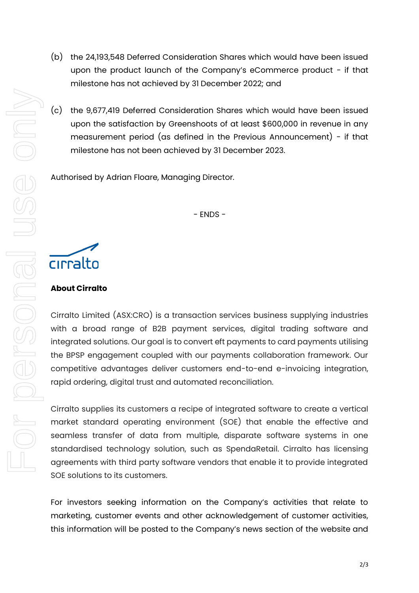- (b) the 24,193,548 Deferred Consideration Shares which would have been issued upon the product launch of the Company's eCommerce product - if that milestone has not achieved by 31 December 2022; and
- (c) the 9,677,419 Deferred Consideration Shares which would have been issued upon the satisfaction by Greenshoots of at least \$600,000 in revenue in any measurement period (as defined in the Previous Announcement) - if that milestone has not been achieved by 31 December 2023.

Authorised by Adrian Floare, Managing Director.

- ENDS -

cirralto

## **About Cirralto**

Cirralto Limited (ASX:CRO) is a transaction services business supplying industries with a broad range of B2B payment services, digital trading software and integrated solutions. Our goal is to convert eft payments to card payments utilising the BPSP engagement coupled with our payments collaboration framework. Our competitive advantages deliver customers end-to-end e-invoicing integration, rapid ordering, digital trust and automated reconciliation.

Cirralto supplies its customers a recipe of integrated software to create a vertical market standard operating environment (SOE) that enable the effective and seamless transfer of data from multiple, disparate software systems in one standardised technology solution, such as SpendaRetail. Cirralto has licensing agreements with third party software vendors that enable it to provide integrated SOE solutions to its customers.

For investors seeking information on the Company's activities that relate to marketing, customer events and other acknowledgement of customer activities, this information will be posted to the Company's news section of the website and